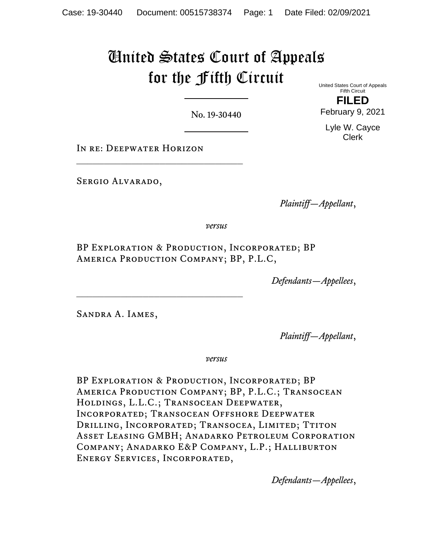# United States Court of Appeals for the Fifth Circuit United States Court of Appeals

No. 19-30440

In re: Deepwater Horizon

\_\_\_\_\_\_\_\_\_\_\_\_\_\_\_\_\_\_\_\_\_\_\_\_\_\_\_\_\_\_

 $\mathcal{L}_\text{max}$ 

SERGIO ALVARADO,

*Plaintiff—Appellant*,

*versus*

BP Exploration & Production, Incorporated; BP America Production Company; BP, P.L.C,

*Defendants—Appellees*,

Sandra A. Iames,

*Plaintiff—Appellant*,

*versus*

BP Exploration & Production, Incorporated; BP America Production Company; BP, P.L.C.; Transocean Holdings, L.L.C.; Transocean Deepwater, Incorporated; Transocean Offshore Deepwater DRILLING, INCORPORATED; TRANSOCEA, LIMITED; TTITON Asset Leasing GMBH; Anadarko Petroleum Corporation Company; Anadarko E&P Company, L.P.; Halliburton Energy Services, Incorporated,

*Defendants—Appellees*,

**FILED** February 9, 2021

Fifth Circuit

Lyle W. Cayce Clerk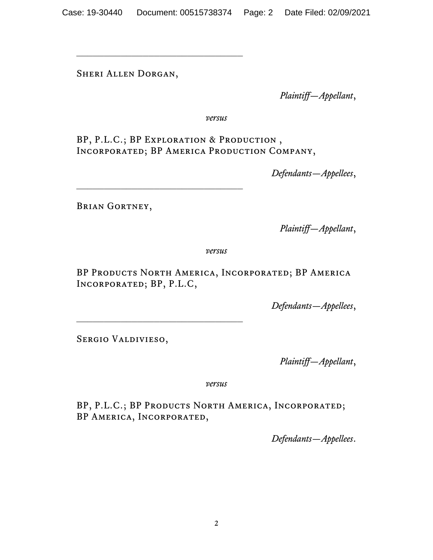Sheri Allen Dorgan,

*Plaintiff—Appellant*,

*versus*

BP, P.L.C.; BP Exploration & Production , Incorporated; BP America Production Company,

*Defendants—Appellees*,

 $\mathcal{L}_\text{max}$  , and the set of the set of the set of the set of the set of the set of the set of the set of the set of the set of the set of the set of the set of the set of the set of the set of the set of the set of the

Brian Gortney,

*Plaintiff—Appellant*,

*versus*

BP Products North America, Incorporated; BP America Incorporated; BP, P.L.C,

*Defendants—Appellees*,

SERGIO VALDIVIESO,

*Plaintiff—Appellant*,

*versus*

BP, P.L.C.; BP PRODUCTS NORTH AMERICA, INCORPORATED; BP America, Incorporated,

*Defendants—Appellees*.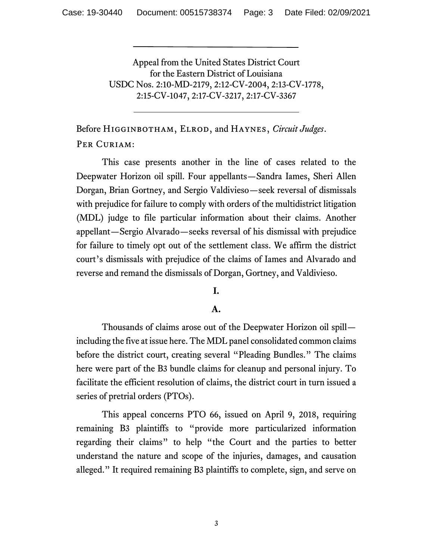Appeal from the United States District Court for the Eastern District of Louisiana USDC Nos. 2:10-MD-2179, 2:12-CV-2004, 2:13-CV-1778, 2:15-CV-1047, 2:17-CV-3217, 2:17-CV-3367

Before Higginbotham, Elrod, and Haynes, *Circuit Judges*. PER CURIAM:

This case presents another in the line of cases related to the Deepwater Horizon oil spill. Four appellants—Sandra Iames, Sheri Allen Dorgan, Brian Gortney, and Sergio Valdivieso—seek reversal of dismissals with prejudice for failure to comply with orders of the multidistrict litigation (MDL) judge to file particular information about their claims. Another appellant—Sergio Alvarado—seeks reversal of his dismissal with prejudice for failure to timely opt out of the settlement class. We affirm the district court's dismissals with prejudice of the claims of Iames and Alvarado and reverse and remand the dismissals of Dorgan, Gortney, and Valdivieso.

# **I.**

# **A.**

Thousands of claims arose out of the Deepwater Horizon oil spill including the five at issue here. The MDL panel consolidated common claims before the district court, creating several "Pleading Bundles." The claims here were part of the B3 bundle claims for cleanup and personal injury. To facilitate the efficient resolution of claims, the district court in turn issued a series of pretrial orders (PTOs).

This appeal concerns PTO 66, issued on April 9, 2018, requiring remaining B3 plaintiffs to "provide more particularized information regarding their claims" to help "the Court and the parties to better understand the nature and scope of the injuries, damages, and causation alleged." It required remaining B3 plaintiffs to complete, sign, and serve on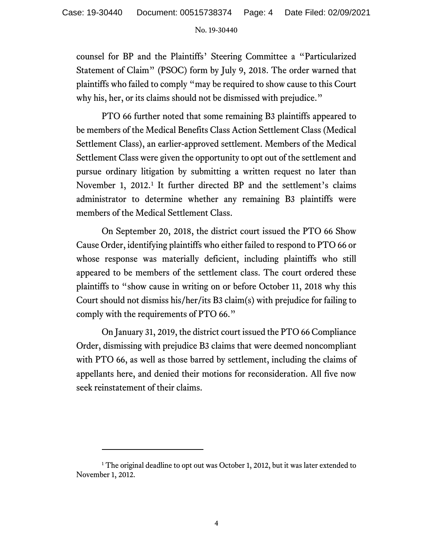counsel for BP and the Plaintiffs' Steering Committee a "Particularized Statement of Claim" (PSOC) form by July 9, 2018. The order warned that plaintiffs who failed to comply "may be required to show cause to this Court why his, her, or its claims should not be dismissed with prejudice."

PTO 66 further noted that some remaining B3 plaintiffs appeared to be members of the Medical Benefits Class Action Settlement Class (Medical Settlement Class), an earlier-approved settlement. Members of the Medical Settlement Class were given the opportunity to opt out of the settlement and pursue ordinary litigation by submitting a written request no later than November [1](#page-3-0), 2012.<sup>1</sup> It further directed BP and the settlement's claims administrator to determine whether any remaining B3 plaintiffs were members of the Medical Settlement Class.

On September 20, 2018, the district court issued the PTO 66 Show Cause Order, identifying plaintiffs who either failed to respond to PTO 66 or whose response was materially deficient, including plaintiffs who still appeared to be members of the settlement class. The court ordered these plaintiffs to "show cause in writing on or before October 11, 2018 why this Court should not dismiss his/her/its B3 claim(s) with prejudice for failing to comply with the requirements of PTO 66."

On January 31, 2019, the district court issued the PTO 66 Compliance Order, dismissing with prejudice B3 claims that were deemed noncompliant with PTO 66, as well as those barred by settlement, including the claims of appellants here, and denied their motions for reconsideration. All five now seek reinstatement of their claims.

<span id="page-3-0"></span><sup>&</sup>lt;sup>1</sup> The original deadline to opt out was October 1, 2012, but it was later extended to November 1, 2012.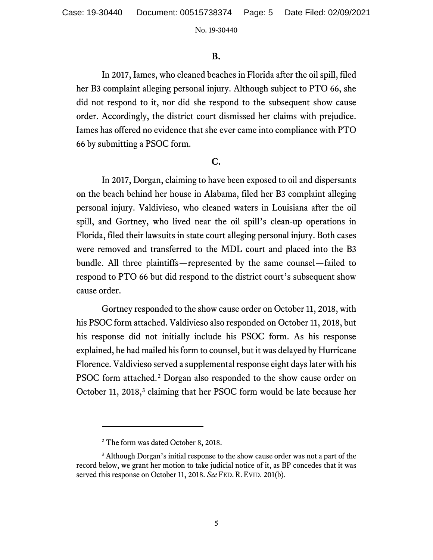### **B.**

In 2017, Iames, who cleaned beaches in Florida after the oil spill, filed her B3 complaint alleging personal injury. Although subject to PTO 66, she did not respond to it, nor did she respond to the subsequent show cause order. Accordingly, the district court dismissed her claims with prejudice. Iames has offered no evidence that she ever came into compliance with PTO 66 by submitting a PSOC form.

# **C.**

In 2017, Dorgan, claiming to have been exposed to oil and dispersants on the beach behind her house in Alabama, filed her B3 complaint alleging personal injury. Valdivieso, who cleaned waters in Louisiana after the oil spill, and Gortney, who lived near the oil spill's clean-up operations in Florida, filed their lawsuits in state court alleging personal injury. Both cases were removed and transferred to the MDL court and placed into the B3 bundle. All three plaintiffs—represented by the same counsel—failed to respond to PTO 66 but did respond to the district court's subsequent show cause order.

Gortney responded to the show cause order on October 11, 2018, with his PSOC form attached. Valdivieso also responded on October 11, 2018, but his response did not initially include his PSOC form. As his response explained, he had mailed his form to counsel, but it was delayed by Hurricane Florence. Valdivieso served a supplemental response eight days later with his PSOC form attached.<sup>[2](#page-4-0)</sup> Dorgan also responded to the show cause order on October 11, 2018,<sup>[3](#page-4-1)</sup> claiming that her PSOC form would be late because her

<sup>&</sup>lt;sup>2</sup> The form was dated October 8, 2018.

<span id="page-4-1"></span><span id="page-4-0"></span><sup>&</sup>lt;sup>3</sup> Although Dorgan's initial response to the show cause order was not a part of the record below, we grant her motion to take judicial notice of it, as BP concedes that it was served this response on October 11, 2018. *See* FED. R. EVID. 201(b).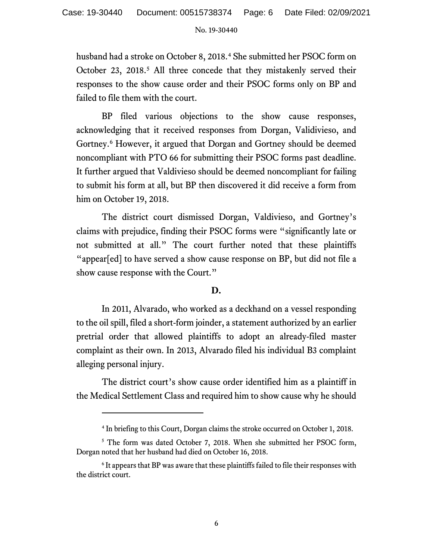husband had a stroke on October 8, 2018.<sup>[4](#page-5-0)</sup> She submitted her PSOC form on October 23, 2018.<sup>[5](#page-5-1)</sup> All three concede that they mistakenly served their responses to the show cause order and their PSOC forms only on BP and failed to file them with the court.

BP filed various objections to the show cause responses, acknowledging that it received responses from Dorgan, Validivieso, and Gortney.[6](#page-5-2) However, it argued that Dorgan and Gortney should be deemed noncompliant with PTO 66 for submitting their PSOC forms past deadline. It further argued that Valdivieso should be deemed noncompliant for failing to submit his form at all, but BP then discovered it did receive a form from him on October 19, 2018.

The district court dismissed Dorgan, Valdivieso, and Gortney's claims with prejudice, finding their PSOC forms were "significantly late or not submitted at all." The court further noted that these plaintiffs "appear[ed] to have served a show cause response on BP, but did not file a show cause response with the Court."

## **D.**

In 2011, Alvarado, who worked as a deckhand on a vessel responding to the oil spill, filed a short-form joinder, a statement authorized by an earlier pretrial order that allowed plaintiffs to adopt an already-filed master complaint as their own. In 2013, Alvarado filed his individual B3 complaint alleging personal injury.

The district court's show cause order identified him as a plaintiff in the Medical Settlement Class and required him to show cause why he should

<sup>4</sup> In briefing to this Court, Dorgan claims the stroke occurred on October 1, 2018.

<span id="page-5-1"></span><span id="page-5-0"></span><sup>&</sup>lt;sup>5</sup> The form was dated October 7, 2018. When she submitted her PSOC form, Dorgan noted that her husband had died on October 16, 2018.

<span id="page-5-2"></span><sup>&</sup>lt;sup>6</sup> It appears that BP was aware that these plaintiffs failed to file their responses with the district court.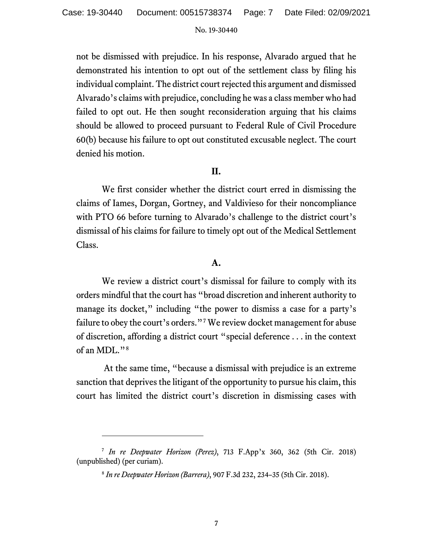not be dismissed with prejudice. In his response, Alvarado argued that he demonstrated his intention to opt out of the settlement class by filing his individual complaint. The district court rejected this argument and dismissed Alvarado's claims with prejudice, concluding hewas a class member who had failed to opt out. He then sought reconsideration arguing that his claims should be allowed to proceed pursuant to Federal Rule of Civil Procedure 60(b) because his failure to opt out constituted excusable neglect. The court denied his motion.

# **II.**

We first consider whether the district court erred in dismissing the claims of Iames, Dorgan, Gortney, and Valdivieso for their noncompliance with PTO 66 before turning to Alvarado's challenge to the district court's dismissal of his claims for failure to timely opt out of the Medical Settlement Class.

### **A.**

We review a district court's dismissal for failure to comply with its orders mindful that the court has "broad discretion and inherent authority to manage its docket," including "the power to dismiss a case for a party's failure to obey the court's orders."[7](#page-6-0) We review docket management for abuse of discretion, affording a district court "special deference . . . in the context of an MDL."[8](#page-6-1)

At the same time, "because a dismissal with prejudice is an extreme sanction that deprives the litigant of the opportunity to pursue his claim, this court has limited the district court's discretion in dismissing cases with

<span id="page-6-1"></span><span id="page-6-0"></span><sup>7</sup> *In re Deepwater Horizon (Perez)*, 713 F.App'x 360, 362 (5th Cir. 2018) (unpublished) (per curiam).

<sup>8</sup> *In re Deepwater Horizon (Barrera)*, 907 F.3d 232, 234–35 (5th Cir. 2018).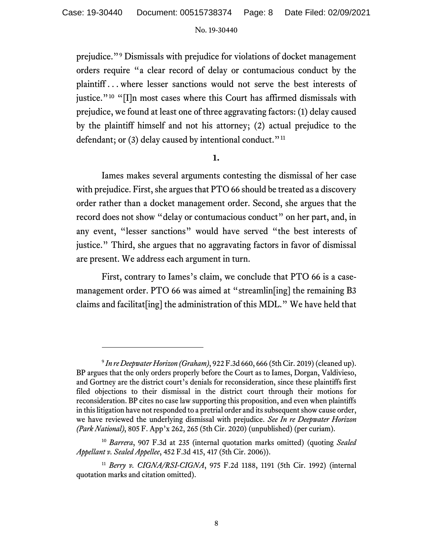prejudice."[9](#page-7-0) Dismissals with prejudice for violations of docket management orders require "a clear record of delay or contumacious conduct by the plaintiff . . . where lesser sanctions would not serve the best interests of justice."<sup>[10](#page-7-1)</sup> "[I]n most cases where this Court has affirmed dismissals with prejudice, we found at least one of three aggravating factors: (1) delay caused by the plaintiff himself and not his attorney; (2) actual prejudice to the defendant; or (3) delay caused by intentional conduct."<sup>[11](#page-7-2)</sup>

### **1.**

Iames makes several arguments contesting the dismissal of her case with prejudice. First, she argues that PTO 66 should be treated as a discovery order rather than a docket management order. Second, she argues that the record does not show "delay or contumacious conduct" on her part, and, in any event, "lesser sanctions" would have served "the best interests of justice." Third, she argues that no aggravating factors in favor of dismissal are present. We address each argument in turn.

First, contrary to Iames's claim, we conclude that PTO 66 is a casemanagement order. PTO 66 was aimed at "streamlin[ing] the remaining B3 claims and facilitat[ing] the administration of this MDL." We have held that

<span id="page-7-0"></span><sup>9</sup> *In re Deepwater Horizon (Graham)*, 922 F.3d 660, 666 (5th Cir. 2019) (cleaned up). BP argues that the only orders properly before the Court as to Iames, Dorgan, Valdivieso, and Gortney are the district court's denials for reconsideration, since these plaintiffs first filed objections to their dismissal in the district court through their motions for reconsideration. BP cites no case law supporting this proposition, and even when plaintiffs in this litigation have not responded to a pretrial order and its subsequent show cause order, we have reviewed the underlying dismissal with prejudice. *See In re Deepwater Horizon (Park National)*, 805 F. App'x 262, 265 (5th Cir. 2020) (unpublished) (per curiam).

<span id="page-7-1"></span><sup>10</sup> *Barrera*, 907 F.3d at 235 (internal quotation marks omitted) (quoting *Sealed Appellant v. Sealed Appellee*, 452 F.3d 415, 417 (5th Cir. 2006)).

<span id="page-7-2"></span><sup>11</sup> *Berry v. CIGNA/RSI-CIGNA*, 975 F.2d 1188, 1191 (5th Cir. 1992) (internal quotation marks and citation omitted).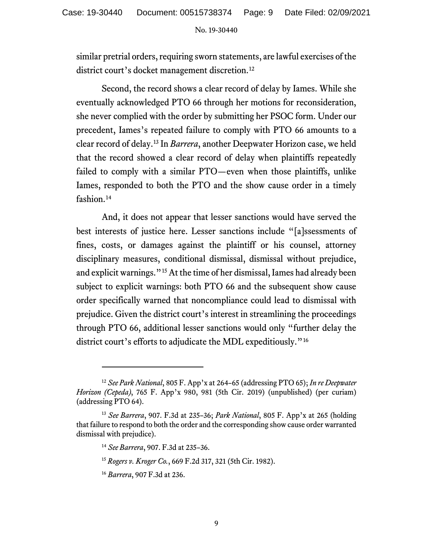similar pretrial orders, requiring sworn statements, are lawful exercises of the district court's docket management discretion.<sup>[12](#page-8-0)</sup>

Second, the record shows a clear record of delay by Iames. While she eventually acknowledged PTO 66 through her motions for reconsideration, she never complied with the order by submitting her PSOC form. Under our precedent, Iames's repeated failure to comply with PTO 66 amounts to a clear record of delay. [13](#page-8-1) In *Barrera*, another Deepwater Horizon case, we held that the record showed a clear record of delay when plaintiffs repeatedly failed to comply with a similar PTO—even when those plaintiffs, unlike Iames, responded to both the PTO and the show cause order in a timely fashion.<sup>[14](#page-8-2)</sup>

And, it does not appear that lesser sanctions would have served the best interests of justice here. Lesser sanctions include "[a]ssessments of fines, costs, or damages against the plaintiff or his counsel, attorney disciplinary measures, conditional dismissal, dismissal without prejudice, and explicit warnings."[15](#page-8-3)At the time of her dismissal, Iames had already been subject to explicit warnings: both PTO 66 and the subsequent show cause order specifically warned that noncompliance could lead to dismissal with prejudice. Given the district court's interest in streamlining the proceedings through PTO 66, additional lesser sanctions would only "further delay the district court's efforts to adjudicate the MDL expeditiously."[16](#page-8-4)

<span id="page-8-0"></span><sup>12</sup> *See Park National*, 805 F. App'x at 264–65 (addressing PTO 65); *In re Deepwater Horizon (Cepeda)*, 765 F. App'x 980, 981 (5th Cir. 2019) (unpublished) (per curiam) (addressing PTO 64).

<span id="page-8-4"></span><span id="page-8-3"></span><span id="page-8-2"></span><span id="page-8-1"></span><sup>13</sup> *See Barrera*, 907. F.3d at 235–36; *Park National*, 805 F. App'x at 265 (holding that failure to respond to both the order and the corresponding show cause order warranted dismissal with prejudice).

<sup>14</sup> *See Barrera*, 907. F.3d at 235–36.

<sup>15</sup> *Rogers v. Kroger Co.*, 669 F.2d 317, 321 (5th Cir. 1982).

<sup>16</sup> *Barrera*, 907 F.3d at 236.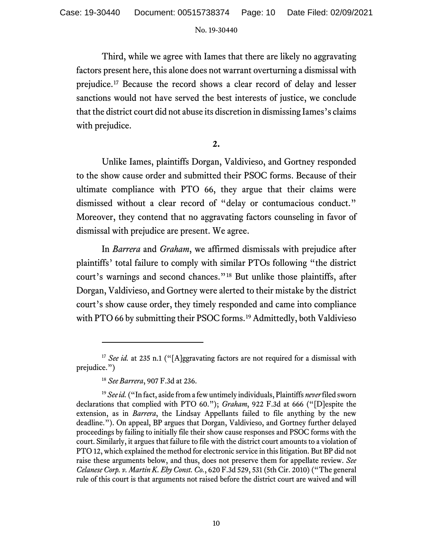Third, while we agree with Iames that there are likely no aggravating factors present here, this alone does not warrant overturning a dismissal with prejudice. [17](#page-9-0) Because the record shows a clear record of delay and lesser sanctions would not have served the best interests of justice, we conclude that the district court did not abuse its discretion in dismissing Iames's claims with prejudice.

**2.** 

Unlike Iames, plaintiffs Dorgan, Valdivieso, and Gortney responded to the show cause order and submitted their PSOC forms. Because of their ultimate compliance with PTO 66, they argue that their claims were dismissed without a clear record of "delay or contumacious conduct." Moreover, they contend that no aggravating factors counseling in favor of dismissal with prejudice are present. We agree.

In *Barrera* and *Graham*, we affirmed dismissals with prejudice after plaintiffs' total failure to comply with similar PTOs following "the district court's warnings and second chances."[18](#page-9-1) But unlike those plaintiffs, after Dorgan, Valdivieso, and Gortney were alerted to their mistake by the district court's show cause order, they timely responded and came into compliance with PTO 66 by submitting their PSOC forms. [19](#page-9-2) Admittedly, both Valdivieso

<span id="page-9-0"></span><sup>&</sup>lt;sup>17</sup> *See id.* at 235 n.1 ("[A]ggravating factors are not required for a dismissal with prejudice.")

<sup>18</sup> *See Barrera*, 907 F.3d at 236.

<span id="page-9-2"></span><span id="page-9-1"></span><sup>19</sup> *See id.* ("In fact, aside from a few untimely individuals, Plaintiffs *never* filed sworn declarations that complied with PTO 60."); *Graham*, 922 F.3d at 666 ("[D]espite the extension, as in *Barrera*, the Lindsay Appellants failed to file anything by the new deadline."). On appeal, BP argues that Dorgan, Valdivieso, and Gortney further delayed proceedings by failing to initially file their show cause responses and PSOC forms with the court. Similarly, it argues that failure to file with the district court amounts to a violation of PTO 12, which explained the method for electronic service in this litigation. But BP did not raise these arguments below, and thus, does not preserve them for appellate review. *See Celanese Corp. v. Martin K. Eby Const. Co.*, 620 F.3d 529, 531 (5th Cir. 2010) ("The general rule of this court is that arguments not raised before the district court are waived and will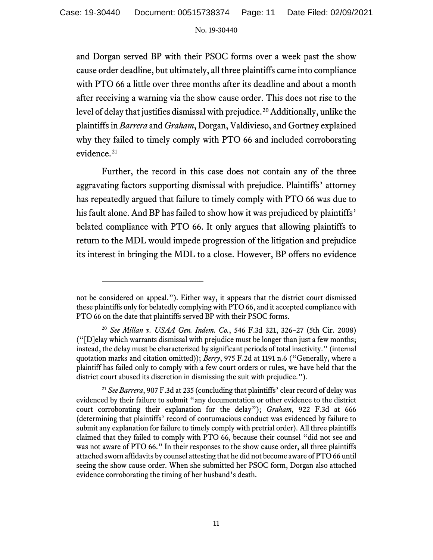and Dorgan served BP with their PSOC forms over a week past the show cause order deadline, but ultimately, all three plaintiffs came into compliance with PTO 66 a little over three months after its deadline and about a month after receiving a warning via the show cause order. This does not rise to the level of delay that justifies dismissal with prejudice.<sup>[20](#page-10-0)</sup> Additionally, unlike the plaintiffs in *Barrera* and *Graham*, Dorgan, Valdivieso, and Gortney explained why they failed to timely comply with PTO 66 and included corroborating evidence.<sup>[21](#page-10-1)</sup>

Further, the record in this case does not contain any of the three aggravating factors supporting dismissal with prejudice. Plaintiffs' attorney has repeatedly argued that failure to timely comply with PTO 66 was due to his fault alone. And BP has failed to show how it was prejudiced by plaintiffs' belated compliance with PTO 66. It only argues that allowing plaintiffs to return to the MDL would impede progression of the litigation and prejudice its interest in bringing the MDL to a close. However, BP offers no evidence

not be considered on appeal."). Either way, it appears that the district court dismissed these plaintiffs only for belatedly complying with PTO 66, and it accepted compliance with PTO 66 on the date that plaintiffs served BP with their PSOC forms.

<span id="page-10-0"></span><sup>20</sup> *See Millan v. USAA Gen. Indem. Co.*, 546 F.3d 321, 326–27 (5th Cir. 2008) ("[D]elay which warrants dismissal with prejudice must be longer than just a few months; instead, the delay must be characterized by significant periods of total inactivity." (internal quotation marks and citation omitted)); *Berry*, 975 F.2d at 1191 n.6 ("Generally, where a plaintiff has failed only to comply with a few court orders or rules, we have held that the district court abused its discretion in dismissing the suit with prejudice.").

<span id="page-10-1"></span><sup>21</sup> *See Barrera*, 907 F.3d at 235 (concluding that plaintiffs' clear record of delay was evidenced by their failure to submit "any documentation or other evidence to the district court corroborating their explanation for the delay"); *Graham*, 922 F.3d at 666 (determining that plaintiffs' record of contumacious conduct was evidenced by failure to submit any explanation for failure to timely comply with pretrial order). All three plaintiffs claimed that they failed to comply with PTO 66, because their counsel "did not see and was not aware of PTO 66." In their responses to the show cause order, all three plaintiffs attached sworn affidavits by counsel attesting that he did not become aware of PTO 66 until seeing the show cause order. When she submitted her PSOC form, Dorgan also attached evidence corroborating the timing of her husband's death.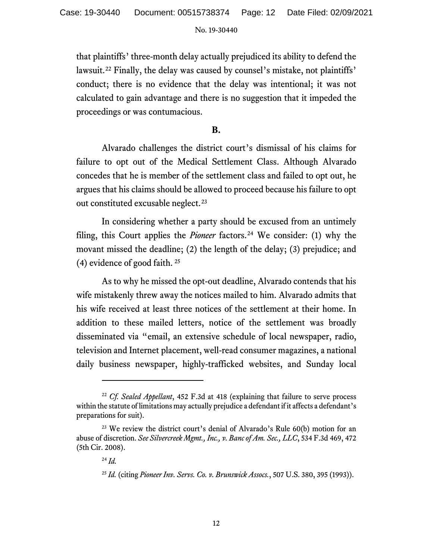that plaintiffs' three-month delay actually prejudiced its ability to defend the lawsuit. [22](#page-11-0) Finally, the delay was caused by counsel's mistake, not plaintiffs' conduct; there is no evidence that the delay was intentional; it was not calculated to gain advantage and there is no suggestion that it impeded the proceedings or was contumacious.

### **B.**

Alvarado challenges the district court's dismissal of his claims for failure to opt out of the Medical Settlement Class. Although Alvarado concedes that he is member of the settlement class and failed to opt out, he argues that his claims should be allowed to proceed because his failure to opt out constituted excusable neglect.<sup>[23](#page-11-1)</sup>

In considering whether a party should be excused from an untimely filing, this Court applies the *Pioneer* factors.<sup>[24](#page-11-2)</sup> We consider: (1) why the movant missed the deadline; (2) the length of the delay; (3) prejudice; and (4) evidence of good faith. [25](#page-11-3)

As to why he missed the opt-out deadline, Alvarado contends that his wife mistakenly threw away the notices mailed to him. Alvarado admits that his wife received at least three notices of the settlement at their home. In addition to these mailed letters, notice of the settlement was broadly disseminated via "email, an extensive schedule of local newspaper, radio, television and Internet placement, well-read consumer magazines, a national daily business newspaper, highly-trafficked websites, and Sunday local

<span id="page-11-0"></span><sup>22</sup> *Cf. Sealed Appellant*, 452 F.3d at 418 (explaining that failure to serve process within the statute of limitations may actually prejudice a defendant if it affects a defendant's preparations for suit).

<span id="page-11-3"></span><span id="page-11-2"></span><span id="page-11-1"></span><sup>&</sup>lt;sup>23</sup> We review the district court's denial of Alvarado's Rule 60(b) motion for an abuse of discretion. *See Silvercreek Mgmt., Inc., v. Bancof Am. Sec., LLC*, 534 F.3d 469, 472 (5th Cir. 2008).

<sup>24</sup> *Id.* 

<sup>25</sup> *Id.* (citing *Pioneer Inv. Servs. Co. v. Brunswick Assocs.*, 507 U.S. 380, 395 (1993)).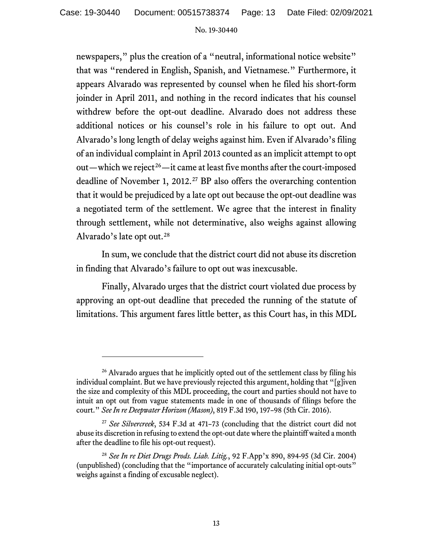newspapers," plus the creation of a "neutral, informational notice website" that was "rendered in English, Spanish, and Vietnamese." Furthermore, it appears Alvarado was represented by counsel when he filed his short-form joinder in April 2011, and nothing in the record indicates that his counsel withdrew before the opt-out deadline. Alvarado does not address these additional notices or his counsel's role in his failure to opt out. And Alvarado's long length of delay weighs against him. Even if Alvarado's filing of an individual complaint in April 2013 counted as an implicit attempt to opt out—which we reject<sup>26</sup>—it came at least five months after the court-imposed deadline of November 1, 2012.<sup>[27](#page-12-1)</sup> BP also offers the overarching contention that it would be prejudiced by a late opt out because the opt-out deadline was a negotiated term of the settlement. We agree that the interest in finality through settlement, while not determinative, also weighs against allowing Alvarado's late opt out.[28](#page-12-2)

In sum, we conclude that the district court did not abuse its discretion in finding that Alvarado's failure to opt out was inexcusable.

Finally, Alvarado urges that the district court violated due process by approving an opt-out deadline that preceded the running of the statute of limitations. This argument fares little better, as this Court has, in this MDL

<span id="page-12-0"></span><sup>&</sup>lt;sup>26</sup> Alvarado argues that he implicitly opted out of the settlement class by filing his individual complaint. But we have previously rejected this argument, holding that "[g]iven the size and complexity of this MDL proceeding, the court and parties should not have to intuit an opt out from vague statements made in one of thousands of filings before the court." *See In re Deepwater Horizon (Mason)*, 819 F.3d 190, 197–98 (5th Cir. 2016).

<span id="page-12-1"></span><sup>27</sup> *See Silvercreek*, 534 F.3d at 471–73 (concluding that the district court did not abuse its discretion in refusing to extend the opt-out date where the plaintiff waited a month after the deadline to file his opt-out request).

<span id="page-12-2"></span><sup>28</sup> *See In re Diet Drugs Prods. Liab. Litig.*, 92 F.App'x 890, 894-95 (3d Cir. 2004) (unpublished) (concluding that the "importance of accurately calculating initial opt-outs" weighs against a finding of excusable neglect).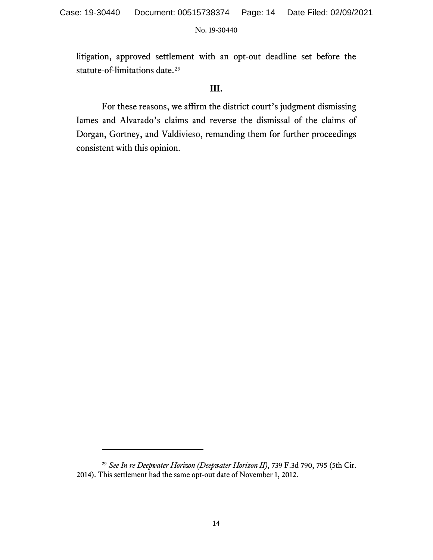litigation, approved settlement with an opt-out deadline set before the statute-of-limitations date.<sup>[29](#page-13-0)</sup>

# **III.**

For these reasons, we affirm the district court's judgment dismissing Iames and Alvarado's claims and reverse the dismissal of the claims of Dorgan, Gortney, and Valdivieso, remanding them for further proceedings consistent with this opinion.

<span id="page-13-0"></span><sup>29</sup> *See In re Deepwater Horizon (Deepwater Horizon II)*, 739 F.3d 790, 795 (5th Cir. 2014). This settlement had the same opt-out date of November 1, 2012.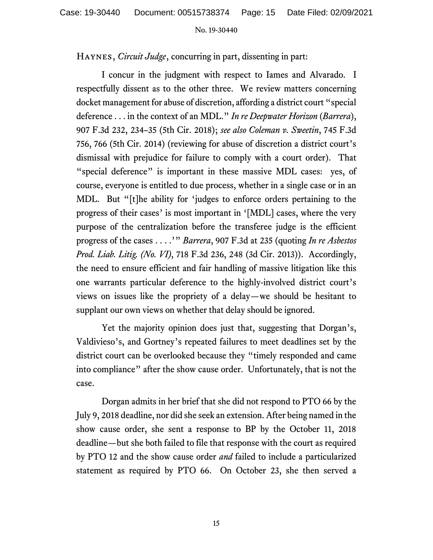Haynes, *Circuit Judge*, concurring in part, dissenting in part:

I concur in the judgment with respect to Iames and Alvarado. I respectfully dissent as to the other three. We review matters concerning docket management for abuse of discretion, affording a district court "special deference . . . in the context of an MDL." *In re Deepwater Horizon* (*Barrera*), 907 F.3d 232, 234–35 (5th Cir. 2018); *see also Coleman v. Sweetin*, 745 F.3d 756, 766 (5th Cir. 2014) (reviewing for abuse of discretion a district court's dismissal with prejudice for failure to comply with a court order). That "special deference" is important in these massive MDL cases: yes, of course, everyone is entitled to due process, whether in a single case or in an MDL. But "[t]he ability for 'judges to enforce orders pertaining to the progress of their cases' is most important in '[MDL] cases, where the very purpose of the centralization before the transferee judge is the efficient progress of the cases . . . .'" *Barrera*, 907 F.3d at 235 (quoting *In re Asbestos Prod. Liab. Litig. (No. VI)*, 718 F.3d 236, 248 (3d Cir. 2013)). Accordingly, the need to ensure efficient and fair handling of massive litigation like this one warrants particular deference to the highly-involved district court's views on issues like the propriety of a delay—we should be hesitant to supplant our own views on whether that delay should be ignored.

Yet the majority opinion does just that, suggesting that Dorgan's, Valdivieso's, and Gortney's repeated failures to meet deadlines set by the district court can be overlooked because they "timely responded and came into compliance" after the show cause order. Unfortunately, that is not the case.

Dorgan admits in her brief that she did not respond to PTO 66 by the July 9, 2018 deadline, nor did she seek an extension. After being named in the show cause order, she sent a response to BP by the October 11, 2018 deadline—but she both failed to file that response with the court as required by PTO 12 and the show cause order *and* failed to include a particularized statement as required by PTO 66. On October 23, she then served a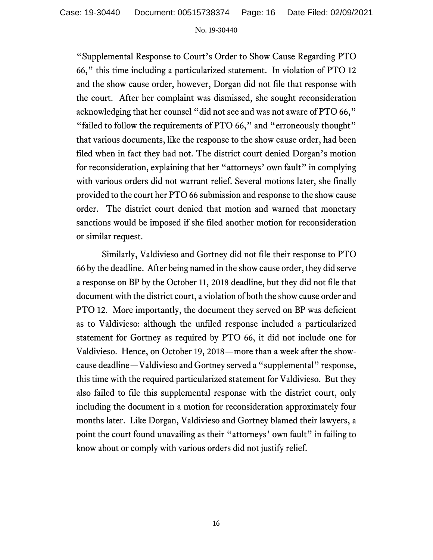"Supplemental Response to Court's Order to Show Cause Regarding PTO 66," this time including a particularized statement. In violation of PTO 12 and the show cause order, however, Dorgan did not file that response with the court. After her complaint was dismissed, she sought reconsideration acknowledging that her counsel "did not see and was not aware of PTO 66," "failed to follow the requirements of PTO 66," and "erroneously thought" that various documents, like the response to the show cause order, had been filed when in fact they had not. The district court denied Dorgan's motion for reconsideration, explaining that her "attorneys' own fault" in complying with various orders did not warrant relief. Several motions later, she finally provided to the court her PTO 66 submission and response to the show cause order. The district court denied that motion and warned that monetary sanctions would be imposed if she filed another motion for reconsideration or similar request.

Similarly, Valdivieso and Gortney did not file their response to PTO 66 by the deadline. After being named in the show cause order, they did serve a response on BP by the October 11, 2018 deadline, but they did not file that document with the district court, a violation of both the show cause order and PTO 12. More importantly, the document they served on BP was deficient as to Valdivieso: although the unfiled response included a particularized statement for Gortney as required by PTO 66, it did not include one for Valdivieso. Hence, on October 19, 2018—more than a week after the showcause deadline—Valdivieso and Gortney served a "supplemental" response, this time with the required particularized statement for Valdivieso. But they also failed to file this supplemental response with the district court, only including the document in a motion for reconsideration approximately four months later. Like Dorgan, Valdivieso and Gortney blamed their lawyers, a point the court found unavailing as their "attorneys' own fault" in failing to know about or comply with various orders did not justify relief.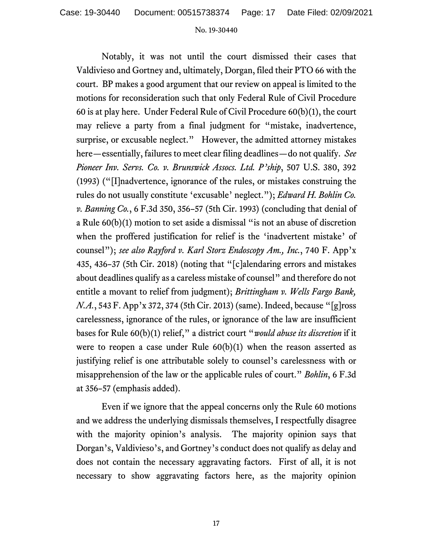Notably, it was not until the court dismissed their cases that Valdivieso and Gortney and, ultimately, Dorgan, filed their PTO 66 with the court. BP makes a good argument that our review on appeal is limited to the motions for reconsideration such that only Federal Rule of Civil Procedure 60 is at play here. Under Federal Rule of Civil Procedure 60(b)(1), the court may relieve a party from a final judgment for "mistake, inadvertence, surprise, or excusable neglect." However, the admitted attorney mistakes here—essentially, failures to meet clear filing deadlines—do not qualify. *See Pioneer Inv. Servs. Co. v. Brunswick Assocs. Ltd. P'ship*, 507 U.S. 380, 392 (1993) ("[I]nadvertence, ignorance of the rules, or mistakes construing the rules do not usually constitute 'excusable' neglect."); *Edward H. Bohlin Co. v. Banning Co.*, 6 F.3d 350, 356–57 (5th Cir. 1993) (concluding that denial of a Rule 60(b)(1) motion to set aside a dismissal "is not an abuse of discretion when the proffered justification for relief is the 'inadvertent mistake' of counsel"); *see also Rayford v. Karl Storz Endoscopy Am., Inc.*, 740 F. App'x 435, 436–37 (5th Cir. 2018) (noting that "[c]alendaring errors and mistakes about deadlines qualify as a careless mistake of counsel" and therefore do not entitle a movant to relief from judgment); *Brittingham v. Wells Fargo Bank, N.A.*, 543 F. App'x 372, 374 (5th Cir. 2013) (same). Indeed, because "[g]ross carelessness, ignorance of the rules, or ignorance of the law are insufficient bases for Rule 60(b)(1) relief," a district court "*would abuse its discretion* if it were to reopen a case under Rule 60(b)(1) when the reason asserted as justifying relief is one attributable solely to counsel's carelessness with or misapprehension of the law or the applicable rules of court." *Bohlin*, 6 F.3d at 356–57 (emphasis added).

Even if we ignore that the appeal concerns only the Rule 60 motions and we address the underlying dismissals themselves, I respectfully disagree with the majority opinion's analysis. The majority opinion says that Dorgan's, Valdivieso's, and Gortney's conduct does not qualify as delay and does not contain the necessary aggravating factors. First of all, it is not necessary to show aggravating factors here, as the majority opinion